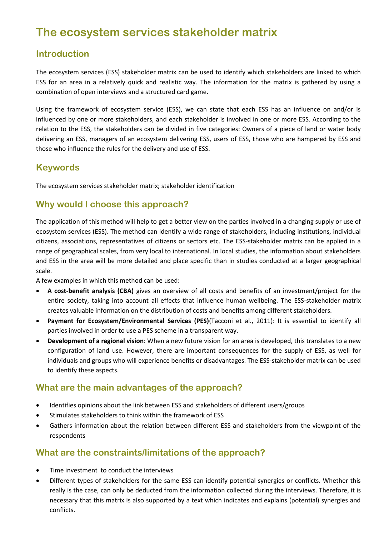# **The ecosystem services stakeholder matrix**

#### **Introduction**

The ecosystem services (ESS) stakeholder matrix can be used to identify which stakeholders are linked to which ESS for an area in a relatively quick and realistic way. The information for the matrix is gathered by using a combination of open interviews and a structured card game.

Using the framework of ecosystem service (ESS), we can state that each ESS has an influence on and/or is influenced by one or more stakeholders, and each stakeholder is involved in one or more ESS. According to the relation to the ESS, the stakeholders can be divided in five categories: Owners of a piece of land or water body delivering an ESS, managers of an ecosystem delivering ESS, users of ESS, those who are hampered by ESS and those who influence the rules for the delivery and use of ESS.

## **Keywords**

The ecosystem services stakeholder matrix; stakeholder identification

## **Why would I choose this approach?**

The application of this method will help to get a better view on the parties involved in a changing supply or use of ecosystem services (ESS). The method can identify a wide range of stakeholders, including institutions, individual citizens, associations, representatives of citizens or sectors etc. The ESS-stakeholder matrix can be applied in a range of geographical scales, from very local to international. In local studies, the information about stakeholders and ESS in the area will be more detailed and place specific than in studies conducted at a larger geographical scale.

A few examples in which this method can be used:

- **A cost-benefit analysis (CBA)** gives an overview of all costs and benefits of an investment/project for the entire society, taking into account all effects that influence human wellbeing. The ESS-stakeholder matrix creates valuable information on the distribution of costs and benefits among different stakeholders.
- **Payment for Ecosystem/Environmental Services (PES)**(Tacconi et al., 2011): It is essential to identify all parties involved in order to use a PES scheme in a transparent way.
- **Development of a regional vision**: When a new future vision for an area is developed, this translates to a new configuration of land use. However, there are important consequences for the supply of ESS, as well for individuals and groups who will experience benefits or disadvantages. The ESS-stakeholder matrix can be used to identify these aspects.

## **What are the main advantages of the approach?**

- Identifies opinions about the link between ESS and stakeholders of different users/groups
- Stimulates stakeholders to think within the framework of ESS
- Gathers information about the relation between different ESS and stakeholders from the viewpoint of the respondents

## **What are the constraints/limitations of the approach?**

- Time investment to conduct the interviews
- Different types of stakeholders for the same ESS can identify potential synergies or conflicts. Whether this really is the case, can only be deducted from the information collected during the interviews. Therefore, it is necessary that this matrix is also supported by a text which indicates and explains (potential) synergies and conflicts.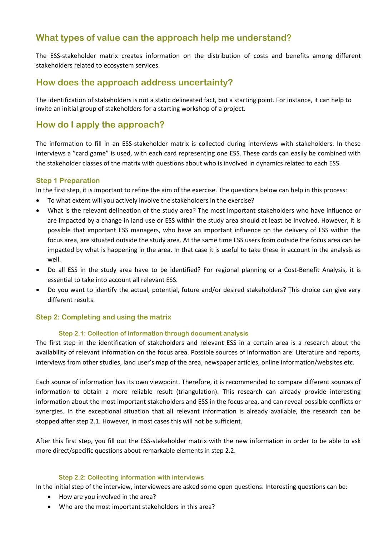## **What types of value can the approach help me understand?**

The ESS-stakeholder matrix creates information on the distribution of costs and benefits among different stakeholders related to ecosystem services.

#### **How does the approach address uncertainty?**

The identification of stakeholders is not a static delineated fact, but a starting point. For instance, it can help to invite an initial group of stakeholders for a starting workshop of a project.

#### **How do I apply the approach?**

The information to fill in an ESS-stakeholder matrix is collected during interviews with stakeholders. In these interviews a "card game" is used, with each card representing one ESS. These cards can easily be combined with the stakeholder classes of the matrix with questions about who is involved in dynamics related to each ESS.

#### **Step 1 Preparation**

In the first step, it is important to refine the aim of the exercise. The questions below can help in this process:

- To what extent will you actively involve the stakeholders in the exercise?
- What is the relevant delineation of the study area? The most important stakeholders who have influence or are impacted by a change in land use or ESS within the study area should at least be involved. However, it is possible that important ESS managers, who have an important influence on the delivery of ESS within the focus area, are situated outside the study area. At the same time ESS users from outside the focus area can be impacted by what is happening in the area. In that case it is useful to take these in account in the analysis as well.
- Do all ESS in the study area have to be identified? For regional planning or a Cost-Benefit Analysis, it is essential to take into account all relevant ESS.
- Do you want to identify the actual, potential, future and/or desired stakeholders? This choice can give very different results.

#### **Step 2: Completing and using the matrix**

#### **Step 2.1: Collection of information through document analysis**

The first step in the identification of stakeholders and relevant ESS in a certain area is a research about the availability of relevant information on the focus area. Possible sources of information are: Literature and reports, interviews from other studies, land user's map of the area, newspaper articles, online information/websites etc.

Each source of information has its own viewpoint. Therefore, it is recommended to compare different sources of information to obtain a more reliable result (triangulation). This research can already provide interesting information about the most important stakeholders and ESS in the focus area, and can reveal possible conflicts or synergies. In the exceptional situation that all relevant information is already available, the research can be stopped after step 2.1. However, in most cases this will not be sufficient.

After this first step, you fill out the ESS-stakeholder matrix with the new information in order to be able to ask more direct/specific questions about remarkable elements in step 2.2.

#### **Step 2.2: Collecting information with interviews**

In the initial step of the interview, interviewees are asked some open questions. Interesting questions can be:

- How are you involved in the area?
- Who are the most important stakeholders in this area?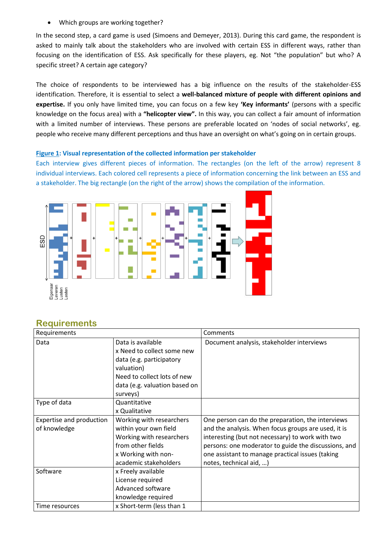Which groups are working together?

In the second step, a card game is used (Simoens and Demeyer, 2013). During this card game, the respondent is asked to mainly talk about the stakeholders who are involved with certain ESS in different ways, rather than focusing on the identification of ESS. Ask specifically for these players, eg. Not "the population" but who? A specific street? A certain age category?

The choice of respondents to be interviewed has a big influence on the results of the stakeholder-ESS identification. Therefore, it is essential to select a **well-balanced mixture of people with different opinions and expertise.** If you only have limited time, you can focus on a few key **'Key informants'** (persons with a specific knowledge on the focus area) with a **"helicopter view".** In this way, you can collect a fair amount of information with a limited number of interviews. These persons are preferable located on 'nodes of social networks', eg. people who receive many different perceptions and thus have an oversight on what's going on in certain groups.

#### **Figure 1: Visual representation of the collected information per stakeholder**

Each interview gives different pieces of information. The rectangles (on the left of the arrow) represent 8 individual interviews. Each colored cell represents a piece of information concerning the link between an ESS and a stakeholder. The big rectangle (on the right of the arrow) shows the compilation of the information.



| Requirements                             |                                                                                                                                                                       | Comments                                                                                                                                                                                                                                                                                            |
|------------------------------------------|-----------------------------------------------------------------------------------------------------------------------------------------------------------------------|-----------------------------------------------------------------------------------------------------------------------------------------------------------------------------------------------------------------------------------------------------------------------------------------------------|
| Data                                     | Data is available<br>x Need to collect some new<br>data (e.g. participatory<br>valuation)<br>Need to collect lots of new<br>data (e.g. valuation based on<br>surveys) | Document analysis, stakeholder interviews                                                                                                                                                                                                                                                           |
| Type of data                             | Quantitative<br>x Qualitative                                                                                                                                         |                                                                                                                                                                                                                                                                                                     |
| Expertise and production<br>of knowledge | Working with researchers<br>within your own field<br>Working with researchers<br>from other fields<br>x Working with non-<br>academic stakeholders                    | One person can do the preparation, the interviews<br>and the analysis. When focus groups are used, it is<br>interesting (but not necessary) to work with two<br>persons: one moderator to guide the discussions, and<br>one assistant to manage practical issues (taking<br>notes, technical aid, ) |
| Software                                 | x Freely available<br>License required<br>Advanced software<br>knowledge required                                                                                     |                                                                                                                                                                                                                                                                                                     |
| Time resources                           | x Short-term (less than 1                                                                                                                                             |                                                                                                                                                                                                                                                                                                     |

#### **Requirements**